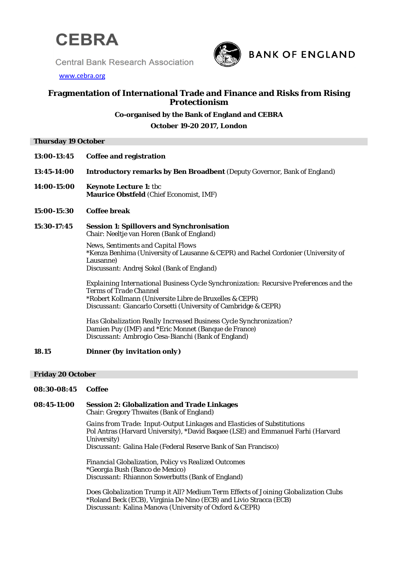

**Central Bank Research Association** 



[www.cebra.org](http://www.cebra.org/)

# **Fragmentation of International Trade and Finance and Risks from Rising Protectionism**

# **Co-organised by the Bank of England and CEBRA**

**October 19-20 2017, London**

## **Thursday 19 October**

- **13:00-13:45 Coffee and registration**
- **13:45-14:00 Introductory remarks by Ben Broadbent** (Deputy Governor, Bank of England)
- **14:00-15:00 Keynote Lecture 1:** tbc **Maurice Obstfeld** (Chief Economist, IMF)

## **15:00-15:30 Coffee break**

**15:30-17:45 Session 1: Spillovers and Synchronisation** Chair: Neeltje van Horen (Bank of England)

> *News, Sentiments and Capital Flows* \*Kenza Benhima (University of Lausanne & CEPR) and Rachel Cordonier (University of Lausanne) *Discussant:* Andrej Sokol (Bank of England)

*Explaining International Business Cycle Synchronization: Recursive Preferences and the Terms of Trade Channel* \*Robert Kollmann (Universite Libre de Bruxelles & CEPR) *Discussant:* Giancarlo Corsetti (University of Cambridge & CEPR)

*Has Globalization Really Increased Business Cycle Synchronization?* Damien Puy (IMF) and \*Eric Monnet (Banque de France) *Discussant:* Ambrogio Cesa-Bianchi (Bank of England)

## **18.15 Dinner** *(by invitation only)*

### **Friday 20 October**

## **08:30-08:45 Coffee**

**08:45-11:00 Session 2: Globalization and Trade Linkages**

Chair: Gregory Thwaites (Bank of England)

*Gains from Trade: Input-Output Linkages and Elasticies of Substitutions* Pol Antras (Harvard University), \*David Baqaee (LSE) and Emmanuel Farhi (Harvard University)

*Discussant:* Galina Hale (Federal Reserve Bank of San Francisco)

*Financial Globalization, Policy vs Realized Outcomes* \*Georgia Bush (Banco de Mexico) *Discussant:* Rhiannon Sowerbutts (Bank of England)

*Does Globalization Trump it All? Medium Term Effects of Joining Globalization Clubs* \*Roland Beck (ECB), Virginia De Nino (ECB) and Livio Stracca (ECB) *Discussant:* Kalina Manova (University of Oxford & CEPR)